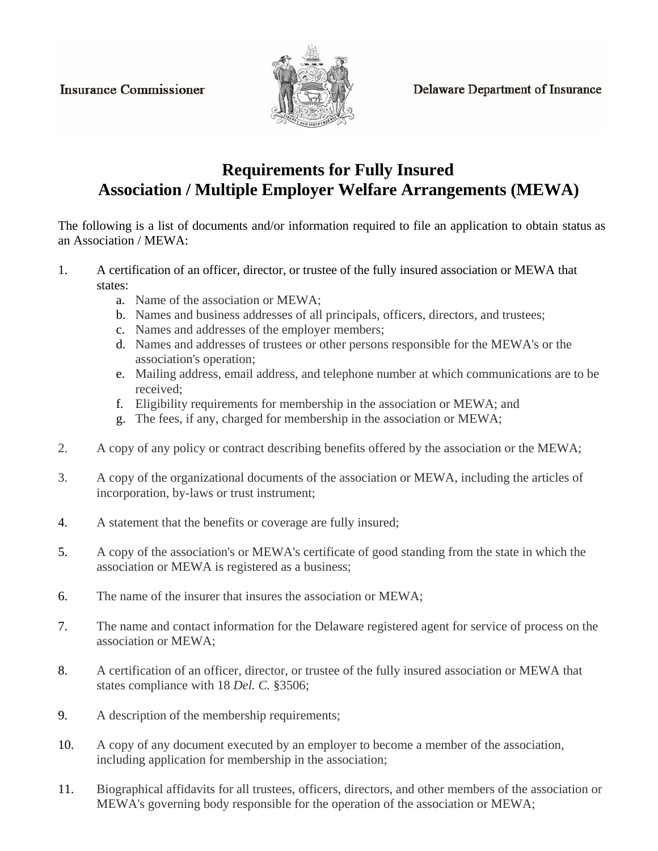**Insurance Commissioner** 



**Delaware Department of Insurance** 

## **Requirements for Fully Insured Association / Multiple Employer Welfare Arrangements (MEWA)**

The following is a list of documents and/or information required to file an application to obtain status as an Association / MEWA:

- 1. A certification of an officer, director, or trustee of the fully insured association or MEWA that states:
	- a. Name of the association or MEWA;
	- b. Names and business addresses of all principals, officers, directors, and trustees;
	- c. Names and addresses of the employer members;
	- d. Names and addresses of trustees or other persons responsible for the MEWA's or the association's operation;
	- e. Mailing address, email address, and telephone number at which communications are to be received;
	- f. Eligibility requirements for membership in the association or MEWA; and
	- g. The fees, if any, charged for membership in the association or MEWA;
- 2. A copy of any policy or contract describing benefits offered by the association or the MEWA;
- 3. A copy of the organizational documents of the association or MEWA, including the articles of incorporation, by-laws or trust instrument;
- 4. A statement that the benefits or coverage are fully insured;
- 5. A copy of the association's or MEWA's certificate of good standing from the state in which the association or MEWA is registered as a business;
- 6. The name of the insurer that insures the association or MEWA;
- 7. The name and contact information for the Delaware registered agent for service of process on the association or MEWA;
- 8. A certification of an officer, director, or trustee of the fully insured association or MEWA that states compliance with 18 *Del. C.* §3506;
- 9. A description of the membership requirements;
- 10. A copy of any document executed by an employer to become a member of the association, including application for membership in the association;
- 11. Biographical affidavits for all trustees, officers, directors, and other members of the association or MEWA's governing body responsible for the operation of the association or MEWA;